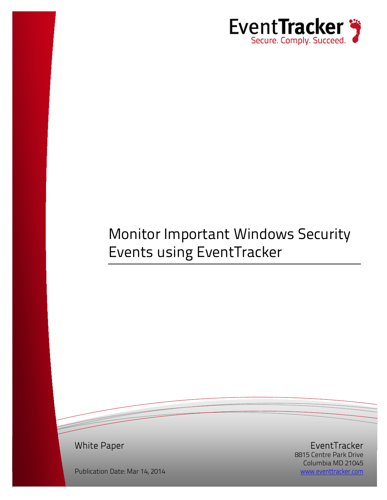

# Monitor Important Windows Security Events using EventTracker

White Paper

EventTracker 8815 Centre Park Drive Columbia MD 21045 [www.eventtracker.com](http://www.eventtracker.com/)

Publication Date: Mar 14, 2014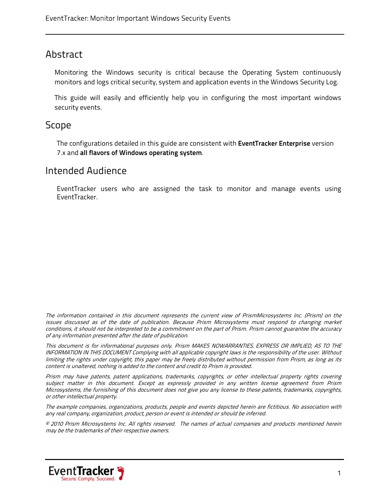#### Abstract

Monitoring the Windows security is critical because the Operating System continuously monitors and logs critical security, system and application events in the Windows Security Log.

This guide will easily and efficiently help you in configuring the most important windows security events.

#### Scope

The configurations detailed in this guide are consistent with **EventTracker Enterprise** version 7.x and **all flavors of Windows operating system**.

#### Intended Audience

EventTracker users who are assigned the task to monitor and manage events using EventTracker.

The information contained in this document represents the current view of PrismMicrosystems Inc. (Prism) on the issues discussed as of the date of publication. Because Prism Microsystems must respond to changing market conditions, it should not be interpreted to be a commitment on the part of Prism. Prism cannot guarantee the accuracy of any information presented after the date of publication.

This document is for informational purposes only. Prism MAKES NOWARRANTIES, EXPRESS OR IMPLIED, AS TO THE INFORMATION IN THIS DOCUMENT Complying with all applicable copyright laws is the responsibility of the user. Without limiting the rights under copyright, this paper may be freely distributed without permission from Prism, as long as its content is unaltered, nothing is added to the content and credit to Prism is provided.

Prism may have patents, patent applications, trademarks, copyrights, or other intellectual property rights covering subject matter in this document. Except as expressly provided in any written license agreement from Prism Microsystems, the furnishing of this document does not give you any license to these patents, trademarks, copyrights, or other intellectual property.

The example companies, organizations, products, people and events depicted herein are fictitious. No association with any real company, organization, product, person or event is intended or should be inferred.

© 2010 Prism Microsystems Inc. All rights reserved. The names of actual companies and products mentioned herein may be the trademarks of their respective owners.

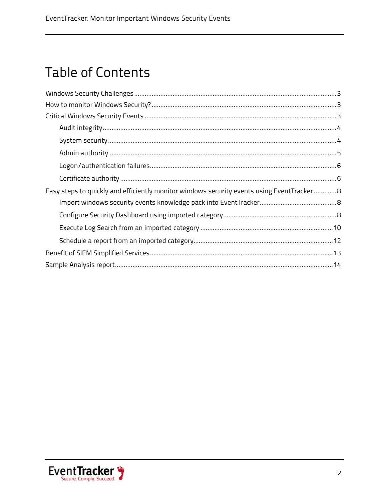## **Table of Contents**

| Easy steps to quickly and efficiently monitor windows security events using EventTracker8 |
|-------------------------------------------------------------------------------------------|
|                                                                                           |
|                                                                                           |
|                                                                                           |
|                                                                                           |
|                                                                                           |
|                                                                                           |

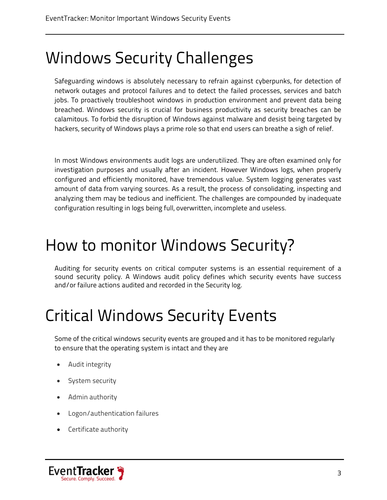# <span id="page-3-0"></span>Windows Security Challenges

Safeguarding windows is absolutely necessary to refrain against cyberpunks, for detection of network outages and protocol failures and to detect the failed processes, services and batch jobs. To proactively troubleshoot windows in production environment and prevent data being breached. Windows security is crucial for business productivity as security breaches can be calamitous. To forbid the disruption of Windows against malware and desist being targeted by hackers, security of Windows plays a prime role so that end users can breathe a sigh of relief.

In most Windows environments audit logs are underutilized. They are often examined only for investigation purposes and usually after an incident. However Windows logs, when properly configured and efficiently monitored, have tremendous value. System logging generates vast amount of data from varying sources. As a result, the process of consolidating, inspecting and analyzing them may be tedious and inefficient. The challenges are compounded by inadequate configuration resulting in logs being full, overwritten, incomplete and useless.

# <span id="page-3-1"></span>How to monitor Windows Security?

Auditing for security events on critical computer systems is an essential requirement of a sound security policy. A Windows audit policy defines which security events have success and/or failure actions audited and recorded in the Security log.

# <span id="page-3-2"></span>Critical Windows Security Events

Some of the critical windows security events are grouped and it has to be monitored regularly to ensure that the operating system is intact and they are

- Audit integrity
- System security
- Admin authority
- Logon/authentication failures
- Certificate authority

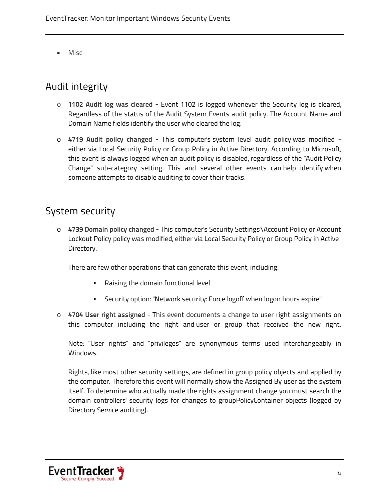• Misc

## <span id="page-4-0"></span>Audit integrity

- o **1102 Audit log was cleared -** Event 1102 is logged whenever the Security log is cleared, Regardless of the status of the Audit System Events audit policy. The Account Name and Domain Name fields identify the user who cleared the log.
- o **4719 Audit policy changed -** This computer's system level audit policy was modified either via Local Security Policy or Group Policy in Active Directory. According to Microsoft, this event is always logged when an audit policy is disabled, regardless of the "Audit Policy Change" sub-category setting. This and several other events can help identify when someone attempts to disable auditing to cover their tracks.

### <span id="page-4-1"></span>System security

o **4739 Domain policy changed -** This computer's Security Settings\Account Policy or Account Lockout Policy policy was modified, either via Local Security Policy or Group Policy in Active Directory.

There are few other operations that can generate this event, including:

- Raising the domain functional level
- Security option: "Network security: Force logoff when logon hours expire"
- o **4704 User right assigned -** This event documents a change to user right assignments on this computer including the right and user or group that received the new right.

Note: "User rights" and "privileges" are synonymous terms used interchangeably in Windows.

Rights, like most other security settings, are defined in group policy objects and applied by the computer. Therefore this event will normally show the Assigned By user as the system itself. To determine who actually made the rights assignment change you must search the domain controllers' security logs for changes to groupPolicyContainer objects (logged by Directory Service auditing).

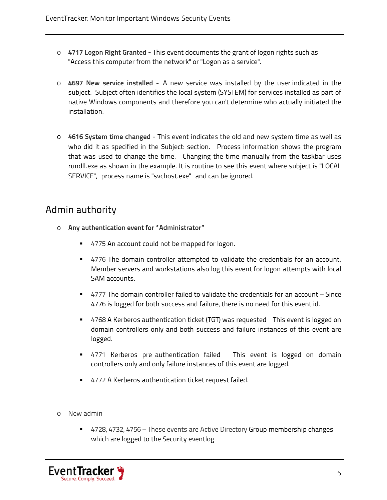- o **4717 Logon Right Granted -** This event documents the grant of logon rights such as "Access this computer from the network" or "Logon as a service".
- o **4697 New service installed -** A new service was installed by the user indicated in the subject. Subject often identifies the local system (SYSTEM) for services installed as part of native Windows components and therefore you can't determine who actually initiated the installation.
- o **4616 System time changed -** This event indicates the old and new system time as well as who did it as specified in the Subject: section. Process information shows the program that was used to change the time. Changing the time manually from the taskbar uses rundll.exe as shown in the example. It is routine to see this event where subject is "LOCAL SERVICE", process name is "svchost.exe" and can be ignored.

#### <span id="page-5-0"></span>Admin authority

- o **Any authentication event for "Administrator"**
	- 4775 An account could not be mapped for logon.
	- 4776 The domain controller attempted to validate the credentials for an account. Member servers and workstations also log this event for logon attempts with local SAM accounts.
	- 4777 The domain controller failed to validate the credentials for an account Since 4776 is logged for both success and failure, there is no need for this event id.
	- 4768 A Kerberos authentication ticket (TGT) was requested This event is logged on domain controllers only and both success and failure instances of this event are logged.
	- 4771 Kerberos pre-authentication failed This event is logged on domain controllers only and only failure instances of this event are logged.
	- 4772 A Kerberos authentication ticket request failed.
- o New admin
	- 4728, 4732, 4756 These events are Active Directory Group membership changes which are logged to the Security eventlog

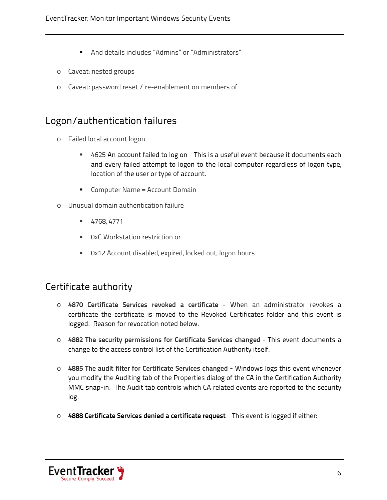- And details includes "Admins" or "Administrators"
- o Caveat: nested groups
- o Caveat: password reset / re-enablement on members of

### <span id="page-6-0"></span>Logon/authentication failures

- o Failed local account logon
	- 4625 An account failed to log on This is a useful event because it documents each and every failed attempt to logon to the local computer regardless of logon type, location of the user or type of account.
	- **Computer Name = Account Domain**
- o Unusual domain authentication failure
	- 4768, 4771
	- 0xC Workstation restriction or
	- 0x12 Account disabled, expired, locked out, logon hours

#### <span id="page-6-1"></span>Certificate authority

- o **4870 Certificate Services revoked a certificate -** When an administrator revokes a certificate the certificate is moved to the Revoked Certificates folder and this event is logged. Reason for revocation noted below.
- o **4882 The security permissions for Certificate Services changed -** This event documents a change to the access control list of the Certification Authority itself.
- o **4885 The audit filter for Certificate Services changed -** Windows logs this event whenever you modify the Auditing tab of the Properties dialog of the CA in the Certification Authority MMC snap-in. The Audit tab controls which CA related events are reported to the security log.
- o **4888 Certificate Services denied a certificate request** This event is logged if either:

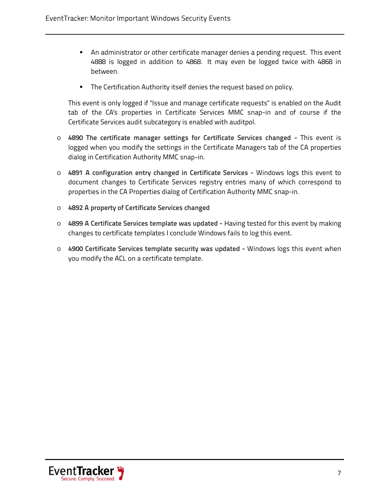- An administrator or other certificate manager denies a pending request. This event 4888 is logged in addition to 4868. It may even be logged twice with 4868 in between.
- **The Certification Authority itself denies the request based on policy.**

This event is only logged if "Issue and manage certificate requests" is enabled on the Audit tab of the CA's properties in Certificate Services MMC snap-in and of course if the Certificate Services audit subcategory is enabled with auditpol.

- o **4890 The certificate manager settings for Certificate Services changed -** This event is logged when you modify the settings in the Certificate Managers tab of the CA properties dialog in Certification Authority MMC snap-in.
- o **4891 A configuration entry changed in Certificate Services -** Windows logs this event to document changes to Certificate Services registry entries many of which correspond to properties in the CA Properties dialog of Certification Authority MMC snap-in.
- o **4892 A property of Certificate Services changed**
- o **4899 A Certificate Services template was updated -** Having tested for this event by making changes to certificate templates I conclude Windows fails to log this event.
- o **4900 Certificate Services template security was updated -** Windows logs this event when you modify the ACL on a certificate template.

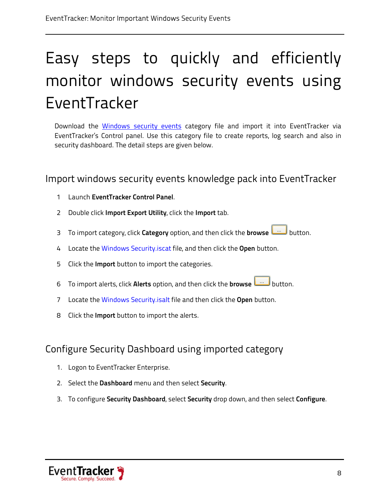# <span id="page-8-0"></span>Easy steps to quickly and efficiently monitor windows security events using EventTracker

Download the *[Windows security events](http://www.eventtracker.com/wp-content/knowledge-updates/ET75KP-001.zip)* category file and import it into EventTracker via EventTracker's Control panel. Use this category file to create reports, log search and also in security dashboard. The detail steps are given below.

<span id="page-8-1"></span>Import windows security events knowledge pack into EventTracker

- 1 Launch **EventTracker Control Panel**.
- 2 Double click **Import Export Utility**, click the **Import** tab.
- 3 To import category, click **Category** option, and then click the **browse button.**
- 4 Locate the Windows Security.iscat file, and then click the **Open** button.
- 5 Click the **Import** button to import the categories.
- 6 To import alerts, click **Alerts** option, and then click the **browse** button.
- 7 Locate the Windows Security.isalt file and then click the **Open** button.
- 8 Click the **Import** button to import the alerts.

## <span id="page-8-2"></span>Configure Security Dashboard using imported category

- 1. Logon to EventTracker Enterprise.
- 2. Select the **Dashboard** menu and then select **Security**.
- 3. To configure **Security Dashboard**, select **Security** drop down, and then select **Configure**.

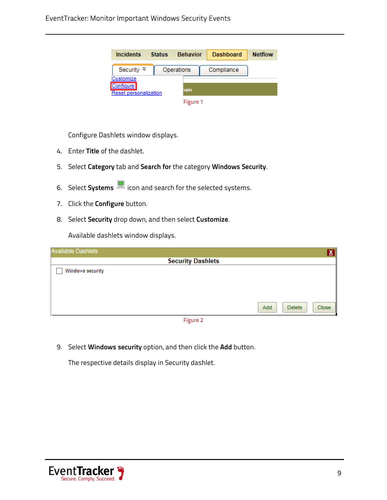| Incidents                    | <b>Status</b> | <b>Behavior</b> | <b>Dashboard</b> | <b>Netflow</b> |
|------------------------------|---------------|-----------------|------------------|----------------|
| Security $\frac{1}{2}$       |               | Operations      | Compliance       |                |
| Customize                    |               |                 |                  |                |
| <b>Configure</b>             |               | nain            |                  |                |
| <b>Reset personalization</b> |               |                 |                  |                |
|                              |               | Figure 1        |                  |                |

Configure Dashlets window displays.

- 4. Enter **Title** of the dashlet.
- 5. Select **Category** tab and **Search for** the category **Windows Security**.
- 6. Select **Systems** icon and search for the selected systems.
- 7. Click the **Configure** button.
- 8. Select **Security** drop down, and then select **Customize**.

Available dashlets window displays.

| $\underline{\mathbf{X}}$      |
|-------------------------------|
| <b>Security Dashlets</b>      |
|                               |
|                               |
|                               |
|                               |
| Close<br>Add<br><b>Delete</b> |
|                               |

Figure 2

9. Select **Windows security** option, and then click the **Add** button.

The respective details display in Security dashlet.

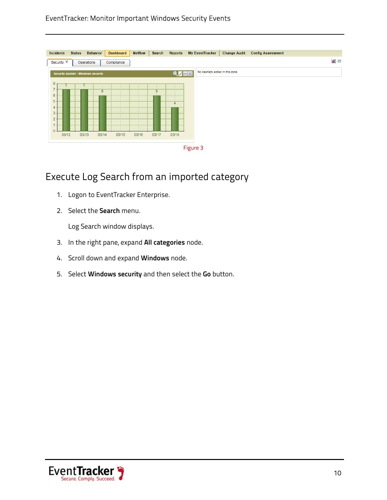#### EventTracker: Monitor Important Windows Security Events

| <b>Incidents</b>                                                                                       | <b>Status</b> | <b>Behavior</b> | <b>Dashboard</b> | <b>Netflow</b> | <b>Search</b> | <b>Reports</b>   |          | <b>My EventTracker</b>          | <b>Change Audit</b> | <b>Config Assessment</b> |                |
|--------------------------------------------------------------------------------------------------------|---------------|-----------------|------------------|----------------|---------------|------------------|----------|---------------------------------|---------------------|--------------------------|----------------|
| Security $\frac{1}{2}$                                                                                 | Operations    |                 | Compliance       |                |               |                  |          |                                 |                     |                          | $\blacksquare$ |
| <b>Security dashlet - Windows security</b>                                                             |               |                 |                  |                |               | $Q \leftarrow X$ |          | No dashlets added in this zone. |                     |                          |                |
| 8 <sub>1</sub><br>$\overline{7}$<br>6<br>5<br>4<br>3<br>$\overline{2}$<br>۰<br>$\overline{0}$<br>03/12 | 03/13         | 6<br>03/14      | 03/15            | 03/16          | 6<br>03/17    | 03/18            |          |                                 |                     |                          |                |
|                                                                                                        |               |                 |                  |                |               |                  | Figure 3 |                                 |                     |                          |                |

## <span id="page-10-0"></span>Execute Log Search from an imported category

- 1. Logon to EventTracker Enterprise.
- 2. Select the **Search** menu.

Log Search window displays.

- 3. In the right pane, expand **All categories** node.
- 4. Scroll down and expand **Windows** node.
- 5. Select **Windows security** and then select the **Go** button.

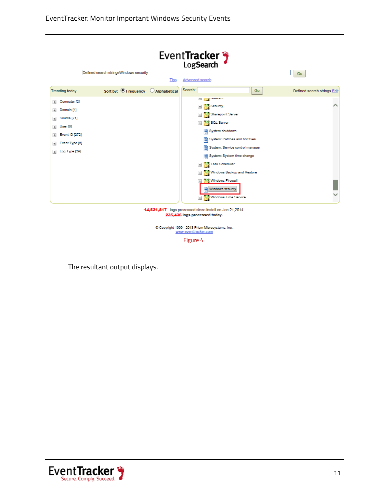



Figure 4

The resultant output displays.

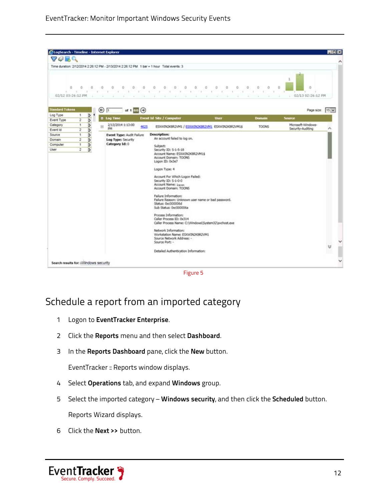| 7059                               |                                                      |               |             | Time duration: 2/12/2014 2:26:12 PM - 2/13/2014 2:26:12 PM 1 bar = 1 hour Total events: 3 |                     |                                                                                                                                                                                                                                                                                                                                                                                                                                                                                                                           |                                   |                        |                                              |                 |  |
|------------------------------------|------------------------------------------------------|---------------|-------------|-------------------------------------------------------------------------------------------|---------------------|---------------------------------------------------------------------------------------------------------------------------------------------------------------------------------------------------------------------------------------------------------------------------------------------------------------------------------------------------------------------------------------------------------------------------------------------------------------------------------------------------------------------------|-----------------------------------|------------------------|----------------------------------------------|-----------------|--|
| 0                                  | $\mathbb{O}^n$<br>are a series of the control of the | D.            | - 10<br>187 | o<br>0<br>O.<br>ALC: Y<br>14<br>n.                                                        | $\circ$<br>15<br>u. | $\theta$<br>0<br>$\circ$<br>$\Omega$<br>0<br>×<br>×.<br>16<br>÷<br>×<br><b>Call</b><br>w.                                                                                                                                                                                                                                                                                                                                                                                                                                 | 0<br>o<br>o<br>o<br>a.<br>a.<br>÷ | o<br>$\sim$<br>V.<br>× | o<br>o<br>$02/13$ 02:26:12 PM<br>The Control |                 |  |
| <b>Standard Tokens</b><br>Log Type | 1                                                    |               | ⊕           | of $\frac{1}{100}$ $\Theta$<br>T.                                                         |                     |                                                                                                                                                                                                                                                                                                                                                                                                                                                                                                                           |                                   |                        |                                              | Page size: 15 v |  |
| Event Type                         | $\overline{\mathbf{r}}$                              | $\frac{6}{2}$ |             | a Log Time                                                                                |                     | <b>Event Id Site / Computer</b>                                                                                                                                                                                                                                                                                                                                                                                                                                                                                           | <b>User</b>                       | <b>Domain</b>          | Source                                       |                 |  |
| Category                           | $\mathbf{I}$                                         | Þ             | 启           | 2/13/2014 1:13:00<br><b>DM</b>                                                            | 4625                | ESXWIN2K8R2VM1 / ESXWIN2K8R2VM1 ESXWIN2K8R2VM1\$                                                                                                                                                                                                                                                                                                                                                                                                                                                                          |                                   | <b>TOONS</b>           | Microsoft-Windows-<br>Security-Auditing      |                 |  |
| Event Id                           | $\overline{z}$                                       | Þ             |             |                                                                                           |                     |                                                                                                                                                                                                                                                                                                                                                                                                                                                                                                                           |                                   |                        |                                              |                 |  |
| Source                             | 1                                                    | Þ             |             | <b>Event Type: Audit Failure</b>                                                          |                     | <b>Description:</b><br>An account failed to log on.                                                                                                                                                                                                                                                                                                                                                                                                                                                                       |                                   |                        |                                              |                 |  |
| Domain                             | $\overline{z}$                                       | Þ             |             | Log Type: Security<br>Category Id: 0                                                      |                     |                                                                                                                                                                                                                                                                                                                                                                                                                                                                                                                           |                                   |                        |                                              |                 |  |
| Computer<br>User                   | $\mathbf{I}$<br>$\overline{2}$                       | D<br>ь        |             |                                                                                           |                     | Subject:<br>Security ID: 5-1-5-18                                                                                                                                                                                                                                                                                                                                                                                                                                                                                         |                                   |                        |                                              |                 |  |
|                                    |                                                      |               |             |                                                                                           |                     | Account Domain: TOONS<br>Logon ID: 0x3e7<br>Logon Type: 4<br>Account For Which Logon Failed:<br>Security ID: 5-1-0-0<br>Account Name: Javen<br>Account Domain: TOONS<br>Failure Information:<br>Failure Reason: Unknown user name or bad password.<br>Status: 0xc000006d<br>Sub Status: 0xc000006a<br>Process Information:<br>Caller Process ID: 0x314<br>Caller Process Name: C:\Windows\System32\pvchost.exe<br>Network Information:<br>Workstation Name: ESXWIN2K8R2VM1<br>Source Network Address: -<br>Source Port: - |                                   |                        |                                              | ₩               |  |
|                                    |                                                      |               |             |                                                                                           |                     | Detailed Authentication Information:                                                                                                                                                                                                                                                                                                                                                                                                                                                                                      |                                   |                        |                                              |                 |  |

Figure 5

## <span id="page-12-0"></span>Schedule a report from an imported category

- 1 Logon to **EventTracker Enterprise**.
- 2 Click the **Reports** menu and then select **Dashboard**.
- 3 In the **Reports Dashboard** pane, click the **New** button.

EventTracker :: Reports window displays.

- 4 Select **Operations** tab, and expand **Windows** group.
- 5 Select the imported category **Windows security**, and then click the **Scheduled** button. Reports Wizard displays.
- 6 Click the **Next >>** button.

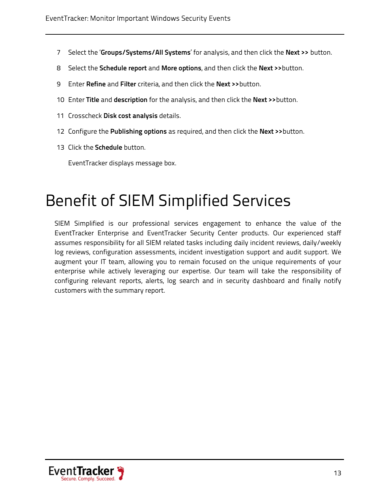- 7 Select the '**Groups/Systems/All Systems**' for analysis, and then click the **Next >>** button.
- 8 Select the **Schedule report** and **More options**, and then click the **Next >>**button.
- 9 Enter **Refine** and **Filter** criteria, and then click the **Next >>**button.
- 10 Enter **Title** and **description** for the analysis, and then click the **Next >>**button.
- 11 Crosscheck **Disk cost analysis** details.
- 12 Configure the **Publishing options** as required, and then click the **Next >>**button.
- 13 Click the **Schedule** button.

EventTracker displays message box.

## <span id="page-13-0"></span>Benefit of SIEM Simplified Services

SIEM Simplified is our professional services engagement to enhance the value of the EventTracker Enterprise and EventTracker Security Center products. Our experienced staff assumes responsibility for all SIEM related tasks including daily incident reviews, daily/weekly log reviews, configuration assessments, incident investigation support and audit support. We augment your IT team, allowing you to remain focused on the unique requirements of your enterprise while actively leveraging our expertise. Our team will take the responsibility of configuring relevant reports, alerts, log search and in security dashboard and finally notify customers with the summary report.

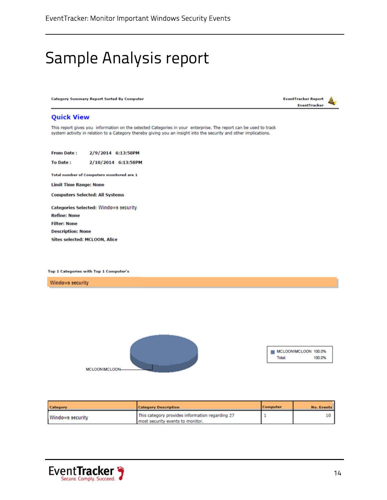# <span id="page-14-0"></span>Sample Analysis report

**Category Summary Report Sorted By Computer** 



#### **Quick View**

This report gives you information on the selected Categories in your enterprise. The report can be used to track system activity in relation to a Category thereby giving you an insight into the security and other implications.

**From Date:** 2/9/2014 6:13:58PM To Date: 2/10/2014 6:13:58PM Total number of Computers monitored are 1 **Limit Time Range: None Computers Selected: All Systems** Categories Selected: Windows security **Refine: None Filter: None Description: None** Sites selected: MCLOON, Alice

Top 1 Categories with Top 1 Computer's

Windows security



| Category         | <b>Category Description</b>                                                         | Computer | <b>No. Events</b> |
|------------------|-------------------------------------------------------------------------------------|----------|-------------------|
| Windows security | This category provides information regarding 27<br>most security events to monitor. |          |                   |

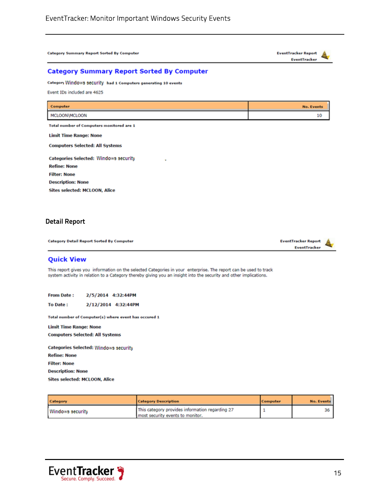**Category Summary Report Sorted By Computer** 



#### **Category Summary Report Sorted By Computer**

Category Windows security had 1 Computers generating 10 events

Event IDs included are 4625

| Computer                                        | <b>No. Events</b> |
|-------------------------------------------------|-------------------|
| MCLOON\MCLOON                                   | 10                |
| Total number of Computers monitored are 1       |                   |
| <b>Limit Time Range: None</b>                   |                   |
| <b>Computers Selected: All Systems</b>          |                   |
| Categories Selected: Windows security<br>$\sim$ |                   |
| <b>Refine: None</b>                             |                   |
| <b>Filter: None</b>                             |                   |
| <b>Description: None</b>                        |                   |

Sites selected: MCLOON, Alice

#### **Detail Report**

**Category Detail Report Sorted By Computer** 



#### **Quick View**

This report gives you information on the selected Categories in your enterprise. The report can be used to track system activity in relation to a Category thereby giving you an insight into the security and other implications.

**From Date:** 2/5/2014 4:32:44PM

To Date: 2/12/2014 4:32:44PM

Total number of Computer(s) where event has occured 1

**Limit Time Range: None Computers Selected: All Systems** 

**Categories Selected: Windows security Refine: None Filter: None Description: None Sites selected: MCLOON, Alice** 

| Category         | <b>Category Description</b>                                                         | Computer | <b>No. Events</b> |
|------------------|-------------------------------------------------------------------------------------|----------|-------------------|
| Windows security | This category provides information regarding 27<br>most security events to monitor. |          |                   |

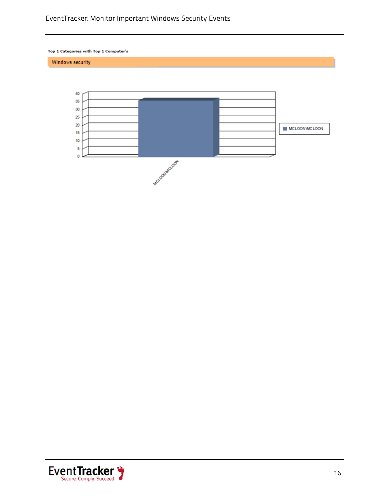#### EventTracker: Monitor Important Windows Security Events

Top 1 Categories with Top 1 Computer's

Windows security